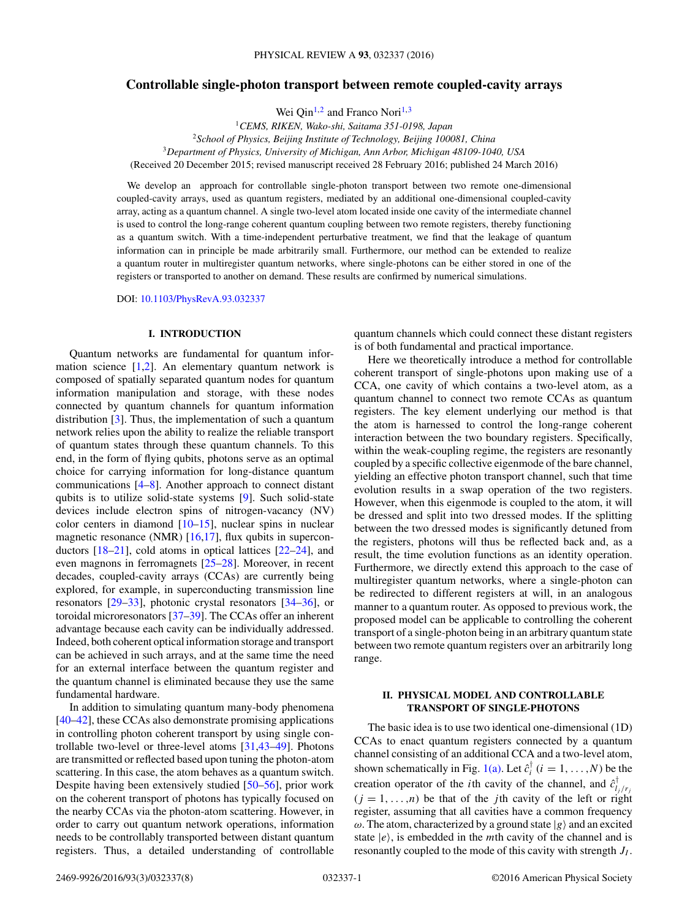# **Controllable single-photon transport between remote coupled-cavity arrays**

Wei Qin<sup>1,2</sup> and Franco Nori<sup>1,3</sup>

*CEMS, RIKEN, Wako-shi, Saitama 351-0198, Japan School of Physics, Beijing Institute of Technology, Beijing 100081, China Department of Physics, University of Michigan, Ann Arbor, Michigan 48109-1040, USA* (Received 20 December 2015; revised manuscript received 28 February 2016; published 24 March 2016)

We develop an approach for controllable single-photon transport between two remote one-dimensional coupled-cavity arrays, used as quantum registers, mediated by an additional one-dimensional coupled-cavity array, acting as a quantum channel. A single two-level atom located inside one cavity of the intermediate channel is used to control the long-range coherent quantum coupling between two remote registers, thereby functioning as a quantum switch. With a time-independent perturbative treatment, we find that the leakage of quantum information can in principle be made arbitrarily small. Furthermore, our method can be extended to realize a quantum router in multiregister quantum networks, where single-photons can be either stored in one of the registers or transported to another on demand. These results are confirmed by numerical simulations.

DOI: [10.1103/PhysRevA.93.032337](http://dx.doi.org/10.1103/PhysRevA.93.032337)

#### **I. INTRODUCTION**

Quantum networks are fundamental for quantum information science  $[1,2]$ . An elementary quantum network is composed of spatially separated quantum nodes for quantum information manipulation and storage, with these nodes connected by quantum channels for quantum information distribution [\[3\]](#page-5-0). Thus, the implementation of such a quantum network relies upon the ability to realize the reliable transport of quantum states through these quantum channels. To this end, in the form of flying qubits, photons serve as an optimal choice for carrying information for long-distance quantum communications [\[4–8\]](#page-5-0). Another approach to connect distant qubits is to utilize solid-state systems [\[9\]](#page-5-0). Such solid-state devices include electron spins of nitrogen-vacancy (NV) color centers in diamond [\[10–15\]](#page-5-0), nuclear spins in nuclear magnetic resonance (NMR) [\[16,17\]](#page-5-0), flux qubits in superconductors [\[18–21\]](#page-5-0), cold atoms in optical lattices [\[22–24\]](#page-5-0), and even magnons in ferromagnets [\[25–28\]](#page-6-0). Moreover, in recent decades, coupled-cavity arrays (CCAs) are currently being explored, for example, in superconducting transmission line resonators [\[29–33\]](#page-6-0), photonic crystal resonators [\[34–36\]](#page-6-0), or toroidal microresonators [\[37–39\]](#page-6-0). The CCAs offer an inherent advantage because each cavity can be individually addressed. Indeed, both coherent optical information storage and transport can be achieved in such arrays, and at the same time the need for an external interface between the quantum register and the quantum channel is eliminated because they use the same fundamental hardware.

In addition to simulating quantum many-body phenomena [\[40–42\]](#page-6-0), these CCAs also demonstrate promising applications in controlling photon coherent transport by using single controllable two-level or three-level atoms [\[31,43–49\]](#page-6-0). Photons are transmitted or reflected based upon tuning the photon-atom scattering. In this case, the atom behaves as a quantum switch. Despite having been extensively studied [\[50–56\]](#page-6-0), prior work on the coherent transport of photons has typically focused on the nearby CCAs via the photon-atom scattering. However, in order to carry out quantum network operations, information needs to be controllably transported between distant quantum registers. Thus, a detailed understanding of controllable

quantum channels which could connect these distant registers is of both fundamental and practical importance.

Here we theoretically introduce a method for controllable coherent transport of single-photons upon making use of a CCA, one cavity of which contains a two-level atom, as a quantum channel to connect two remote CCAs as quantum registers. The key element underlying our method is that the atom is harnessed to control the long-range coherent interaction between the two boundary registers. Specifically, within the weak-coupling regime, the registers are resonantly coupled by a specific collective eigenmode of the bare channel, yielding an effective photon transport channel, such that time evolution results in a swap operation of the two registers. However, when this eigenmode is coupled to the atom, it will be dressed and split into two dressed modes. If the splitting between the two dressed modes is significantly detuned from the registers, photons will thus be reflected back and, as a result, the time evolution functions as an identity operation. Furthermore, we directly extend this approach to the case of multiregister quantum networks, where a single-photon can be redirected to different registers at will, in an analogous manner to a quantum router. As opposed to previous work, the proposed model can be applicable to controlling the coherent transport of a single-photon being in an arbitrary quantum state between two remote quantum registers over an arbitrarily long range.

## **II. PHYSICAL MODEL AND CONTROLLABLE TRANSPORT OF SINGLE-PHOTONS**

The basic idea is to use two identical one-dimensional (1D) CCAs to enact quantum registers connected by a quantum channel consisting of an additional CCA and a two-level atom, shown schematically in Fig. [1\(a\).](#page-1-0) Let  $\hat{c}_i^{\dagger}$  ( $i = 1, ..., N$ ) be the creation operator of the *i*th cavity of the channel, and  $\hat{c}_{l_j/r_j}^{\dagger}$  $(j = 1, \ldots, n)$  be that of the *j*th cavity of the left or right register, assuming that all cavities have a common frequency  $\omega$ . The atom, characterized by a ground state  $|g\rangle$  and an excited state  $|e\rangle$ , is embedded in the *m*th cavity of the channel and is resonantly coupled to the mode of this cavity with strength *JI* .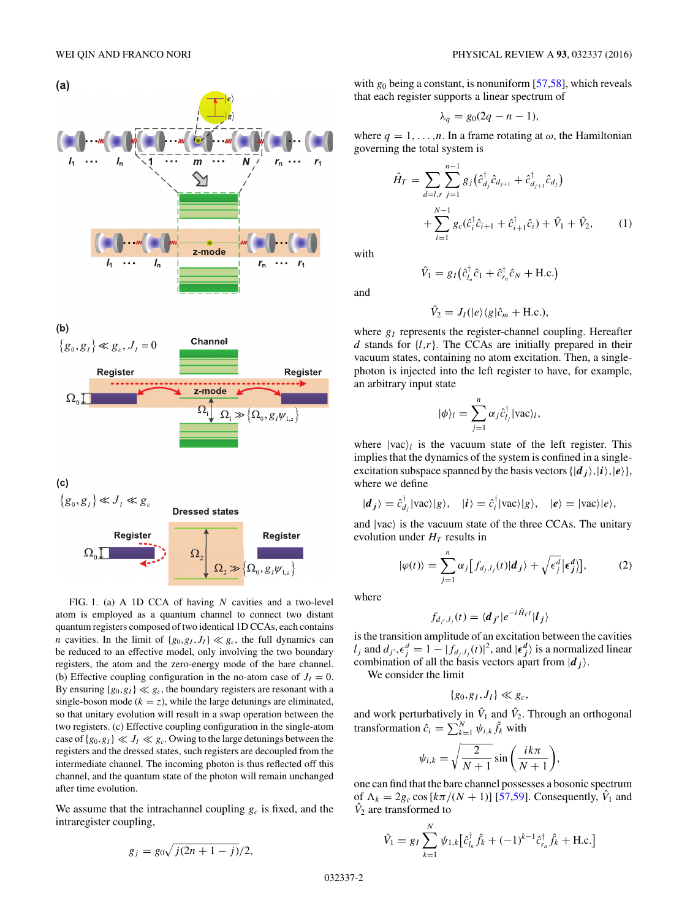<span id="page-1-0"></span>

FIG. 1. (a) A 1D CCA of having *N* cavities and a two-level atom is employed as a quantum channel to connect two distant quantum registers composed of two identical 1D CCAs, each contains *n* cavities. In the limit of  $\{g_0, g_1, J_1\} \ll g_c$ , the full dynamics can be reduced to an effective model, only involving the two boundary registers, the atom and the zero-energy mode of the bare channel. (b) Effective coupling configuration in the no-atom case of  $J_I = 0$ . By ensuring  ${g_0, g_I} \ll g_c$ , the boundary registers are resonant with a single-boson mode ( $k = z$ ), while the large detunings are eliminated, so that unitary evolution will result in a swap operation between the two registers. (c) Effective coupling configuration in the single-atom case of  ${g_0, g_1} \ll J_I \ll g_c$ . Owing to the large detunings between the registers and the dressed states, such registers are decoupled from the intermediate channel. The incoming photon is thus reflected off this channel, and the quantum state of the photon will remain unchanged after time evolution.

We assume that the intrachannel coupling  $g_c$  is fixed, and the intraregister coupling,

$$
g_j = g_0 \sqrt{j(2n+1-j)}/2,
$$

with  $g_0$  being a constant, is nonuniform  $[57,58]$ , which reveals that each register supports a linear spectrum of

$$
\lambda_q = g_0(2q - n - 1),
$$

where  $q = 1, \ldots, n$ . In a frame rotating at  $\omega$ , the Hamiltonian governing the total system is

$$
\hat{H}_T = \sum_{d=l,r} \sum_{j=1}^{n-1} g_j (\hat{c}_{d_j}^{\dagger} \hat{c}_{d_{j+1}} + \hat{c}_{d_{j+1}}^{\dagger} \hat{c}_{d_j}) + \sum_{i=1}^{N-1} g_c (\hat{c}_i^{\dagger} \hat{c}_{i+1} + \hat{c}_{i+1}^{\dagger} \hat{c}_i) + \hat{V}_1 + \hat{V}_2, \qquad (1)
$$

with

$$
\hat{V}_1 = g_I \left( \hat{c}_{l_n}^{\dagger} \hat{c}_1 + \hat{c}_{r_n}^{\dagger} \hat{c}_N + \text{H.c.} \right)
$$

and

$$
\hat{V}_2 = J_I(|e\rangle\langle g|\hat{c}_m + \text{H.c.}),
$$

where  $g_I$  represents the register-channel coupling. Hereafter *d* stands for  $\{l,r\}$ . The CCAs are initially prepared in their vacuum states, containing no atom excitation. Then, a singlephoton is injected into the left register to have, for example, an arbitrary input state

$$
|\phi\rangle_l = \sum_{j=1}^n \alpha_j \hat{c}_{l_j}^{\dagger} |\text{vac}\rangle_l,
$$

where  $|vac\rangle_l$  is the vacuum state of the left register. This implies that the dynamics of the system is confined in a singleexcitation subspace spanned by the basis vectors  $\{|d_j\rangle, |i\rangle, |e\rangle\}$ , where we define

$$
|\boldsymbol{d}_j\rangle = \hat{c}_{d_j}^{\dagger} |\text{vac}\rangle |g\rangle, \quad |\boldsymbol{i}\rangle = \hat{c}_i^{\dagger} |\text{vac}\rangle |g\rangle, \quad |\boldsymbol{e}\rangle = |\text{vac}\rangle |\boldsymbol{e}\rangle,
$$

and  $|vac\rangle$  is the vacuum state of the three CCAs. The unitary evolution under  $H_T$  results in

$$
|\varphi(t)\rangle = \sum_{j=1}^{n} \alpha_j \big[ f_{d_j, l_j}(t) | d_j \rangle + \sqrt{\epsilon_j^d} \big| \epsilon_j^d \big] \big],\tag{2}
$$

where

$$
f_{d_{j'},l_j}(t) = \langle \boldsymbol{d}_{j'}|e^{-i\hat{H}_T t}|\boldsymbol{l}_j\rangle
$$

is the transition amplitude of an excitation between the cavities *l<sub>j</sub>* and  $d_{j'}$ , $\epsilon_j^d = 1 - |f_{d_j, l_j}(t)|^2$ , and  $|\epsilon_j^d\rangle$  is a normalized linear combination of all the basis vectors apart from  $|d_j\rangle$ .

We consider the limit

$$
\{g_0,g_I,J_I\}\ll g_c,
$$

and work perturbatively in  $\hat{V}_1$  and  $\hat{V}_2$ . Through an orthogonal transformation  $\hat{c}_i = \sum_{k=1}^{N} \psi_{i,k} \hat{f}_k$  with

$$
\psi_{i,k} = \sqrt{\frac{2}{N+1}} \sin\left(\frac{ik\pi}{N+1}\right),\,
$$

one can find that the bare channel possesses a bosonic spectrum of  $\Lambda_k = 2g_c \cos[k\pi/(N+1)]$  [\[57,59\]](#page-6-0). Consequently,  $\hat{V}_1$  and  $\hat{V}_2$  are transformed to

$$
\hat{V}_1 = g_I \sum_{k=1}^N \psi_{1,k} \left[ \hat{c}_{l_n}^{\dagger} \hat{f}_k + (-1)^{k-1} \hat{c}_{r_n}^{\dagger} \hat{f}_k + \text{H.c.} \right]
$$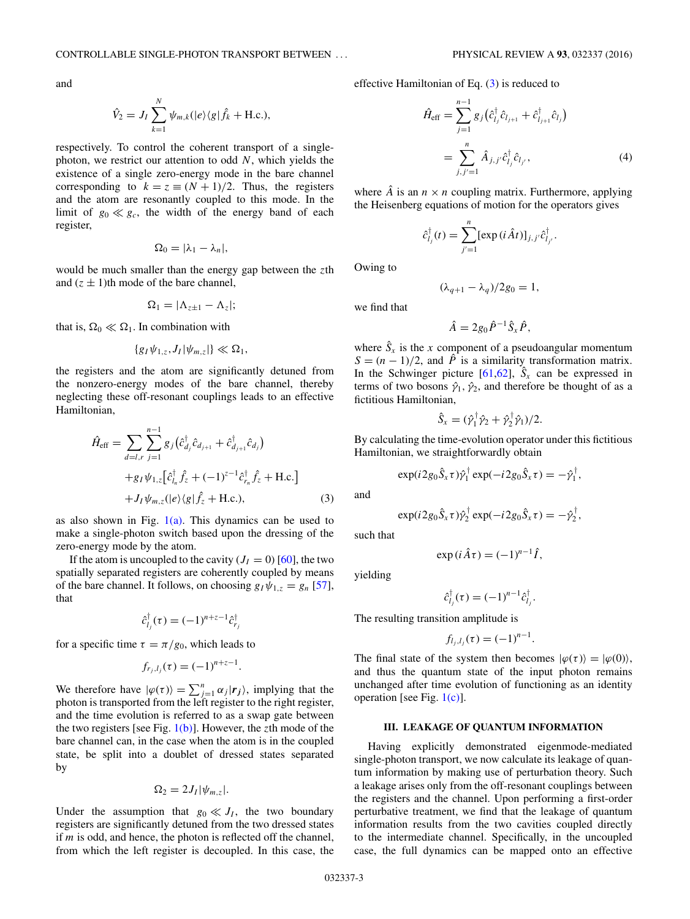and

$$
\hat{V}_2 = J_I \sum_{k=1}^N \psi_{m,k}(|e\rangle\langle g|\hat{f}_k + \text{H.c.}),
$$

respectively. To control the coherent transport of a singlephoton, we restrict our attention to odd *N*, which yields the existence of a single zero-energy mode in the bare channel corresponding to  $k = z \equiv (N + 1)/2$ . Thus, the registers and the atom are resonantly coupled to this mode. In the limit of  $g_0 \ll g_c$ , the width of the energy band of each register,

$$
\Omega_0=|\lambda_1-\lambda_n|,
$$

would be much smaller than the energy gap between the *z*th and  $(z \pm 1)$ th mode of the bare channel,

$$
\Omega_1=|\Lambda_{z\pm 1}-\Lambda_z|;
$$

that is,  $\Omega_0 \ll \Omega_1$ . In combination with

$$
\{g_I\psi_{1,z},J_I|\psi_{m,z}|\}\ll\Omega_1,
$$

the registers and the atom are significantly detuned from the nonzero-energy modes of the bare channel, thereby neglecting these off-resonant couplings leads to an effective Hamiltonian,

$$
\hat{H}_{\text{eff}} = \sum_{d=l,r} \sum_{j=1}^{n-1} g_j \left( \hat{c}_{d_j}^{\dagger} \hat{c}_{d_{j+1}} + \hat{c}_{d_{j+1}}^{\dagger} \hat{c}_{d_j} \right) \n+ g_I \psi_{1,z} \left[ \hat{c}_{l_n}^{\dagger} \hat{f}_z + (-1)^{z-1} \hat{c}_{r_n}^{\dagger} \hat{f}_z + \text{H.c.} \right] \n+ J_I \psi_{m,z}(|e\rangle \langle g | \hat{f}_z + \text{H.c.}),
$$
\n(3)

as also shown in Fig.  $1(a)$ . This dynamics can be used to make a single-photon switch based upon the dressing of the zero-energy mode by the atom.

If the atom is uncoupled to the cavity  $(J<sub>I</sub> = 0)$  [\[60\]](#page-6-0), the two spatially separated registers are coherently coupled by means of the bare channel. It follows, on choosing  $g_I \psi_{1,z} = g_n$  [\[57\]](#page-6-0), that

$$
\hat{c}_{l_j}^{\dagger}(\tau) = (-1)^{n+z-1} \hat{c}_{r_j}^{\dagger}
$$

for a specific time  $\tau = \pi/g_0$ , which leads to

$$
f_{r_j,l_j}(\tau) = (-1)^{n+z-1}.
$$

We therefore have  $|\varphi(\tau)\rangle = \sum_{j=1}^n \alpha_j |r_j\rangle$ , implying that the photon is transported from the left register to the right register, and the time evolution is referred to as a swap gate between the two registers [see Fig. [1\(b\)\]](#page-1-0). However, the *z*th mode of the bare channel can, in the case when the atom is in the coupled state, be split into a doublet of dressed states separated by

$$
\Omega_2=2J_I|\psi_{m,z}|.
$$

Under the assumption that  $g_0 \ll J_I$ , the two boundary registers are significantly detuned from the two dressed states if *m* is odd, and hence, the photon is reflected off the channel, from which the left register is decoupled. In this case, the effective Hamiltonian of Eq. (3) is reduced to

$$
\hat{H}_{\text{eff}} = \sum_{j=1}^{n-1} g_j (\hat{c}_{l_j}^{\dagger} \hat{c}_{l_{j+1}} + \hat{c}_{l_{j+1}}^{\dagger} \hat{c}_{l_j}) \n= \sum_{j,j'=1}^{n} \hat{A}_{j,j'} \hat{c}_{l_j}^{\dagger} \hat{c}_{l_{j'}},
$$
\n(4)

where  $\hat{A}$  is an  $n \times n$  coupling matrix. Furthermore, applying the Heisenberg equations of motion for the operators gives

$$
\hat{c}_{l_j}^{\dagger}(t) = \sum_{j'=1}^n [\exp(i\hat{A}t)]_{j,j'} \hat{c}_{l_{j'}}^{\dagger}.
$$

Owing to

$$
(\lambda_{q+1} - \lambda_q)/2g_0 = 1,
$$

we find that

$$
\hat{A}=2g_0\hat{P}^{-1}\hat{S}_x\hat{P},
$$

where  $\hat{S}_x$  is the *x* component of a pseudoangular momentum  $S = (n - 1)/2$ , and  $\hat{P}$  is a similarity transformation matrix. In the Schwinger picture [\[61,62\]](#page-6-0),  $\hat{S}_x$  can be expressed in terms of two bosons  $\hat{\gamma}_1$ ,  $\hat{\gamma}_2$ , and therefore be thought of as a fictitious Hamiltonian,

$$
\hat{S}_x = (\hat{\gamma}_1^{\dagger} \hat{\gamma}_2 + \hat{\gamma}_2^{\dagger} \hat{\gamma}_1)/2.
$$

By calculating the time-evolution operator under this fictitious Hamiltonian, we straightforwardly obtain

$$
\exp(i2g_0\hat{S}_x\tau)\hat{\gamma}_1^{\dagger}\exp(-i2g_0\hat{S}_x\tau)=-\hat{\gamma}_1^{\dagger},
$$

and

$$
\exp(i2g_0\hat{S}_x\tau)\hat{\gamma}_2^{\dagger}\exp(-i2g_0\hat{S}_x\tau)=-\hat{\gamma}_2^{\dagger},
$$

such that

$$
\exp(i\hat{A}\tau) = (-1)^{n-1}\hat{I},
$$

yielding

$$
\hat{c}_{l_j}^{\dagger}(\tau) = (-1)^{n-1} \hat{c}_{l_j}^{\dagger}.
$$

The resulting transition amplitude is

$$
f_{l_j,l_j}(\tau) = (-1)^{n-1}.
$$

The final state of the system then becomes  $|\varphi(\tau)\rangle = |\varphi(0)\rangle$ , and thus the quantum state of the input photon remains unchanged after time evolution of functioning as an identity operation [see Fig. [1\(c\)\]](#page-1-0).

### **III. LEAKAGE OF QUANTUM INFORMATION**

Having explicitly demonstrated eigenmode-mediated single-photon transport, we now calculate its leakage of quantum information by making use of perturbation theory. Such a leakage arises only from the off-resonant couplings between the registers and the channel. Upon performing a first-order perturbative treatment, we find that the leakage of quantum information results from the two cavities coupled directly to the intermediate channel. Specifically, in the uncoupled case, the full dynamics can be mapped onto an effective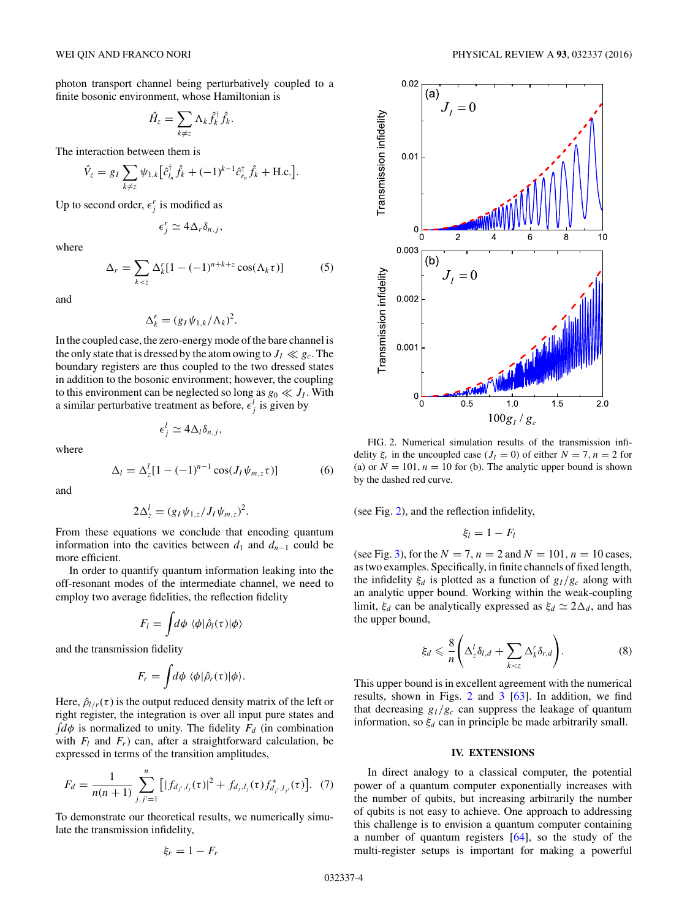<span id="page-3-0"></span>photon transport channel being perturbatively coupled to a finite bosonic environment, whose Hamiltonian is

$$
\hat{H}_z = \sum_{k \neq z} \Lambda_k \hat{f}_k^{\dagger} \hat{f}_k.
$$

The interaction between them is

$$
\hat{V}_z = g_I \sum_{k \neq z} \psi_{1,k} \left[ \hat{c}_{l_n}^{\dagger} \hat{f}_k + (-1)^{k-1} \hat{c}_{r_n}^{\dagger} \hat{f}_k + \text{H.c.} \right].
$$

Up to second order,  $\epsilon_j^r$  is modified as

$$
\epsilon_j^r \simeq 4\Delta_r \delta_{n,j},
$$

where

$$
\Delta_r = \sum_{k < z} \Delta_k^r [1 - (-1)^{n+k+z} \cos(\Lambda_k \tau)] \tag{5}
$$

and

$$
\Delta_k^r = (g_I \psi_{1,k} / \Lambda_k)^2.
$$

In the coupled case, the zero-energy mode of the bare channel is the only state that is dressed by the atom owing to  $J_I \ll g_c$ . The boundary registers are thus coupled to the two dressed states in addition to the bosonic environment; however, the coupling to this environment can be neglected so long as  $g_0 \ll J_I$ . With a similar perturbative treatment as before,  $\epsilon_j^l$  is given by

$$
\epsilon_j^l \simeq 4\Delta_l \delta_{n,j},
$$

where

$$
\Delta_l = \Delta_z^l [1 - (-1)^{n-1} \cos(J_l \psi_{m,z} \tau)] \tag{6}
$$

and

$$
2\Delta_z^l=(g_I\psi_{1,z}/J_I\psi_{m,z})^2.
$$

From these equations we conclude that encoding quantum information into the cavities between  $d_1$  and  $d_{n-1}$  could be more efficient.

In order to quantify quantum information leaking into the off-resonant modes of the intermediate channel, we need to employ two average fidelities, the reflection fidelity

$$
F_l = \int d\phi \, \langle \phi | \hat{\rho}_l(\tau) | \phi \rangle
$$

and the transmission fidelity

$$
F_r = \int d\phi \, \langle \phi | \hat{\rho}_r(\tau) | \phi \rangle.
$$

Here,  $\hat{\rho}_{l/r}(\tau)$  is the output reduced density matrix of the left or right register, the integration is over all input pure states and  $\int d\phi$  is normalized to unity. The fidelity  $F_d$  (in combination with  $F_l$  and  $F_r$ ) can, after a straightforward calculation, be expressed in terms of the transition amplitudes,

$$
F_d = \frac{1}{n(n+1)} \sum_{j,j'=1}^n \left[ |f_{d_{j'},l_j}(\tau)|^2 + f_{d_j,l_j}(\tau) f_{d_{j'},l_{j'}}^*(\tau) \right]. \tag{7}
$$

To demonstrate our theoretical results, we numerically simulate the transmission infidelity,

$$
\xi_r=1-F_r
$$



FIG. 2. Numerical simulation results of the transmission infidelity  $\xi_r$  in the uncoupled case  $(J_I = 0)$  of either  $N = 7$ ,  $n = 2$  for (a) or  $N = 101$ ,  $n = 10$  for (b). The analytic upper bound is shown by the dashed red curve.

(see Fig. 2), and the reflection infidelity,

$$
\xi_l=1-F_l
$$

(see Fig. [3\)](#page-4-0), for the  $N = 7$ ,  $n = 2$  and  $N = 101$ ,  $n = 10$  cases, as two examples. Specifically, in finite channels of fixed length, the infidelity  $\xi_d$  is plotted as a function of  $g_I/g_c$  along with an analytic upper bound. Working within the weak-coupling limit,  $\xi_d$  can be analytically expressed as  $\xi_d \simeq 2\Delta_d$ , and has the upper bound,

$$
\xi_d \leq \frac{8}{n} \left( \Delta_z^l \delta_{l,d} + \sum_{k < z} \Delta_k^r \delta_{r,d} \right). \tag{8}
$$

This upper bound is in excellent agreement with the numerical results, shown in Figs. 2 and [3](#page-4-0) [\[63\]](#page-6-0). In addition, we find that decreasing  $g_I/g_c$  can suppress the leakage of quantum information, so  $\xi_d$  can in principle be made arbitrarily small.

#### **IV. EXTENSIONS**

In direct analogy to a classical computer, the potential power of a quantum computer exponentially increases with the number of qubits, but increasing arbitrarily the number of qubits is not easy to achieve. One approach to addressing this challenge is to envision a quantum computer containing a number of quantum registers [\[64\]](#page-7-0), so the study of the multi-register setups is important for making a powerful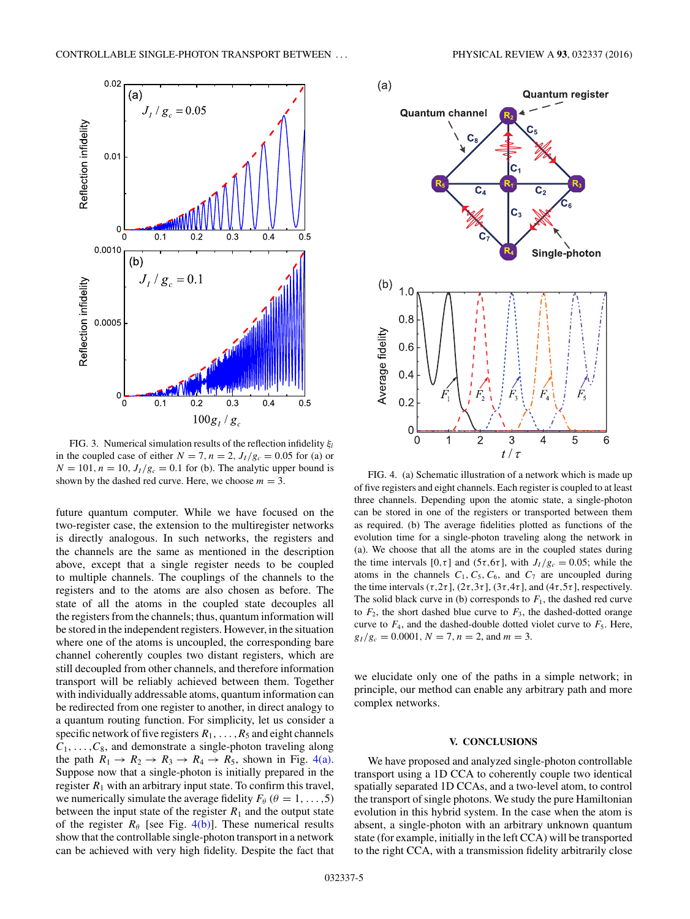<span id="page-4-0"></span>

FIG. 3. Numerical simulation results of the reflection infidelity ξ<sub>l</sub> in the coupled case of either  $N = 7$ ,  $n = 2$ ,  $J_I/g_c = 0.05$  for (a) or  $N = 101$ ,  $n = 10$ ,  $J_I/g_c = 0.1$  for (b). The analytic upper bound is shown by the dashed red curve. Here, we choose  $m = 3$ .

future quantum computer. While we have focused on the two-register case, the extension to the multiregister networks is directly analogous. In such networks, the registers and the channels are the same as mentioned in the description above, except that a single register needs to be coupled to multiple channels. The couplings of the channels to the registers and to the atoms are also chosen as before. The state of all the atoms in the coupled state decouples all the registers from the channels; thus, quantum information will be stored in the independent registers. However, in the situation where one of the atoms is uncoupled, the corresponding bare channel coherently couples two distant registers, which are still decoupled from other channels, and therefore information transport will be reliably achieved between them. Together with individually addressable atoms, quantum information can be redirected from one register to another, in direct analogy to a quantum routing function. For simplicity, let us consider a specific network of five registers  $R_1, \ldots, R_5$  and eight channels  $C_1, \ldots, C_8$ , and demonstrate a single-photon traveling along the path  $R_1 \rightarrow R_2 \rightarrow R_3 \rightarrow R_4 \rightarrow R_5$ , shown in Fig. 4(a). Suppose now that a single-photon is initially prepared in the register  $R_1$  with an arbitrary input state. To confirm this travel, we numerically simulate the average fidelity  $F_\theta$  ( $\theta = 1, \ldots, 5$ ) between the input state of the register  $R_1$  and the output state of the register  $R_{\theta}$  [see Fig. 4(b)]. These numerical results show that the controllable single-photon transport in a network can be achieved with very high fidelity. Despite the fact that



FIG. 4. (a) Schematic illustration of a network which is made up of five registers and eight channels. Each register is coupled to at least three channels. Depending upon the atomic state, a single-photon can be stored in one of the registers or transported between them as required. (b) The average fidelities plotted as functions of the evolution time for a single-photon traveling along the network in (a). We choose that all the atoms are in the coupled states during the time intervals  $[0, \tau]$  and  $(5\tau, 6\tau]$ , with  $J_I/g_c = 0.05$ ; while the atoms in the channels  $C_1, C_5, C_6$ , and  $C_7$  are uncoupled during the time intervals  $(\tau, 2\tau]$ ,  $(2\tau, 3\tau]$ ,  $(3\tau, 4\tau]$ , and  $(4\tau, 5\tau]$ , respectively. The solid black curve in (b) corresponds to  $F_1$ , the dashed red curve to  $F_2$ , the short dashed blue curve to  $F_3$ , the dashed-dotted orange curve to  $F_4$ , and the dashed-double dotted violet curve to  $F_5$ . Here,  $g_I/g_c = 0.0001, N = 7, n = 2, \text{ and } m = 3.$ 

we elucidate only one of the paths in a simple network; in principle, our method can enable any arbitrary path and more complex networks.

### **V. CONCLUSIONS**

We have proposed and analyzed single-photon controllable transport using a 1D CCA to coherently couple two identical spatially separated 1D CCAs, and a two-level atom, to control the transport of single photons. We study the pure Hamiltonian evolution in this hybrid system. In the case when the atom is absent, a single-photon with an arbitrary unknown quantum state (for example, initially in the left CCA) will be transported to the right CCA, with a transmission fidelity arbitrarily close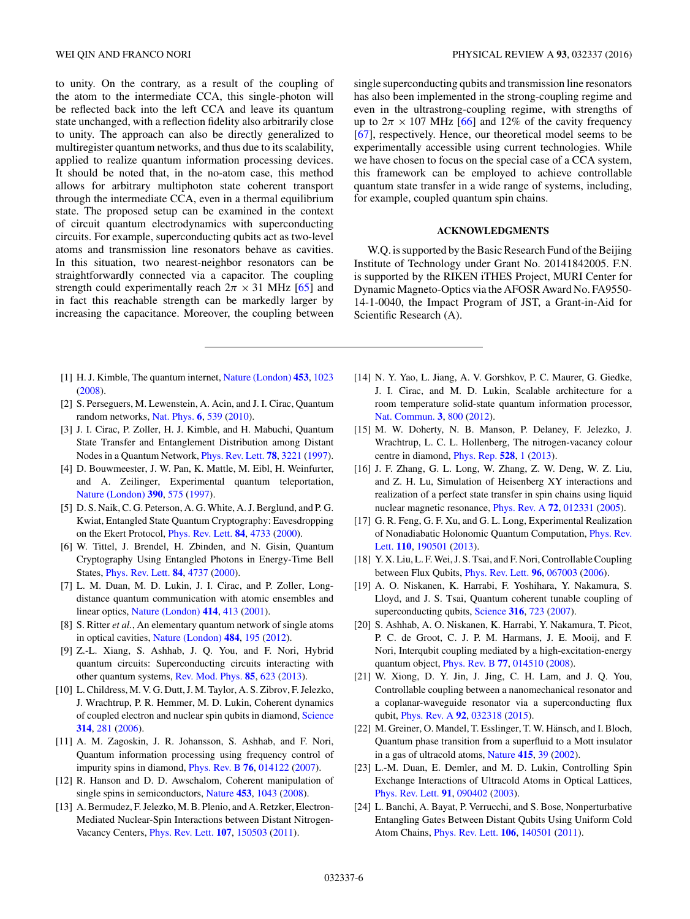<span id="page-5-0"></span>to unity. On the contrary, as a result of the coupling of the atom to the intermediate CCA, this single-photon will be reflected back into the left CCA and leave its quantum state unchanged, with a reflection fidelity also arbitrarily close to unity. The approach can also be directly generalized to multiregister quantum networks, and thus due to its scalability, applied to realize quantum information processing devices. It should be noted that, in the no-atom case, this method allows for arbitrary multiphoton state coherent transport through the intermediate CCA, even in a thermal equilibrium state. The proposed setup can be examined in the context of circuit quantum electrodynamics with superconducting circuits. For example, superconducting qubits act as two-level atoms and transmission line resonators behave as cavities. In this situation, two nearest-neighbor resonators can be straightforwardly connected via a capacitor. The coupling strength could experimentally reach  $2\pi \times 31$  MHz [\[65\]](#page-7-0) and in fact this reachable strength can be markedly larger by increasing the capacitance. Moreover, the coupling between

- [1] H. J. Kimble, The quantum internet, [Nature \(London\)](http://dx.doi.org/10.1038/nature07127) **[453](http://dx.doi.org/10.1038/nature07127)**, [1023](http://dx.doi.org/10.1038/nature07127) [\(2008\)](http://dx.doi.org/10.1038/nature07127).
- [2] S. Perseguers, M. Lewenstein, A. Acin, and J. I. Cirac, Quantum random networks, [Nat. Phys.](http://dx.doi.org/10.1038/nphys1665) **[6](http://dx.doi.org/10.1038/nphys1665)**, [539](http://dx.doi.org/10.1038/nphys1665) [\(2010\)](http://dx.doi.org/10.1038/nphys1665).
- [3] J. I. Cirac, P. Zoller, H. J. Kimble, and H. Mabuchi, Quantum State Transfer and Entanglement Distribution among Distant Nodes in a Quantum Network, [Phys. Rev. Lett.](http://dx.doi.org/10.1103/PhysRevLett.78.3221) **[78](http://dx.doi.org/10.1103/PhysRevLett.78.3221)**, [3221](http://dx.doi.org/10.1103/PhysRevLett.78.3221) [\(1997\)](http://dx.doi.org/10.1103/PhysRevLett.78.3221).
- [4] D. Bouwmeester, J. W. Pan, K. Mattle, M. Eibl, H. Weinfurter, and A. Zeilinger, Experimental quantum teleportation, [Nature \(London\)](http://dx.doi.org/10.1038/37539) **[390](http://dx.doi.org/10.1038/37539)**, [575](http://dx.doi.org/10.1038/37539) [\(1997\)](http://dx.doi.org/10.1038/37539).
- [5] D. S. Naik, C. G. Peterson, A. G. White, A. J. Berglund, and P. G. Kwiat, Entangled State Quantum Cryptography: Eavesdropping on the Ekert Protocol, [Phys. Rev. Lett.](http://dx.doi.org/10.1103/PhysRevLett.84.4733) **[84](http://dx.doi.org/10.1103/PhysRevLett.84.4733)**, [4733](http://dx.doi.org/10.1103/PhysRevLett.84.4733) [\(2000\)](http://dx.doi.org/10.1103/PhysRevLett.84.4733).
- [6] W. Tittel, J. Brendel, H. Zbinden, and N. Gisin, Quantum Cryptography Using Entangled Photons in Energy-Time Bell States, [Phys. Rev. Lett.](http://dx.doi.org/10.1103/PhysRevLett.84.4737) **[84](http://dx.doi.org/10.1103/PhysRevLett.84.4737)**, [4737](http://dx.doi.org/10.1103/PhysRevLett.84.4737) [\(2000\)](http://dx.doi.org/10.1103/PhysRevLett.84.4737).
- [7] L. M. Duan, M. D. Lukin, J. I. Cirac, and P. Zoller, Longdistance quantum communication with atomic ensembles and linear optics, [Nature \(London\)](http://dx.doi.org/10.1038/35106500) **[414](http://dx.doi.org/10.1038/35106500)**, [413](http://dx.doi.org/10.1038/35106500) [\(2001\)](http://dx.doi.org/10.1038/35106500).
- [8] S. Ritter *et al.*, An elementary quantum network of single atoms in optical cavities, [Nature \(London\)](http://dx.doi.org/10.1038/nature11023) **[484](http://dx.doi.org/10.1038/nature11023)**, [195](http://dx.doi.org/10.1038/nature11023) [\(2012\)](http://dx.doi.org/10.1038/nature11023).
- [9] Z.-L. Xiang, S. Ashhab, J. Q. You, and F. Nori, Hybrid quantum circuits: Superconducting circuits interacting with other quantum systems, [Rev. Mod. Phys.](http://dx.doi.org/10.1103/RevModPhys.85.623) **[85](http://dx.doi.org/10.1103/RevModPhys.85.623)**, [623](http://dx.doi.org/10.1103/RevModPhys.85.623) [\(2013\)](http://dx.doi.org/10.1103/RevModPhys.85.623).
- [10] L. Childress, M. V. G. Dutt, J. M. Taylor, A. S. Zibrov, F. Jelezko, J. Wrachtrup, P. R. Hemmer, M. D. Lukin, Coherent dynamics of coupled electron and nuclear spin qubits in diamond, [Science](http://dx.doi.org/10.1126/science.1131871) **[314](http://dx.doi.org/10.1126/science.1131871)**, [281](http://dx.doi.org/10.1126/science.1131871) [\(2006\)](http://dx.doi.org/10.1126/science.1131871).
- [11] A. M. Zagoskin, J. R. Johansson, S. Ashhab, and F. Nori, Quantum information processing using frequency control of impurity spins in diamond, [Phys. Rev. B](http://dx.doi.org/10.1103/PhysRevB.76.014122) **[76](http://dx.doi.org/10.1103/PhysRevB.76.014122)**, [014122](http://dx.doi.org/10.1103/PhysRevB.76.014122) [\(2007\)](http://dx.doi.org/10.1103/PhysRevB.76.014122).
- [12] R. Hanson and D. D. Awschalom, Coherent manipulation of single spins in semiconductors, [Nature](http://dx.doi.org/10.1038/nature07129) **[453](http://dx.doi.org/10.1038/nature07129)**, [1043](http://dx.doi.org/10.1038/nature07129) [\(2008\)](http://dx.doi.org/10.1038/nature07129).
- [13] A. Bermudez, F. Jelezko, M. B. Plenio, and A. Retzker, Electron-Mediated Nuclear-Spin Interactions between Distant Nitrogen-Vacancy Centers, [Phys. Rev. Lett.](http://dx.doi.org/10.1103/PhysRevLett.107.150503) **[107](http://dx.doi.org/10.1103/PhysRevLett.107.150503)**, [150503](http://dx.doi.org/10.1103/PhysRevLett.107.150503) [\(2011\)](http://dx.doi.org/10.1103/PhysRevLett.107.150503).

single superconducting qubits and transmission line resonators has also been implemented in the strong-coupling regime and even in the ultrastrong-coupling regime, with strengths of up to  $2\pi \times 107$  MHz [\[66\]](#page-7-0) and 12% of the cavity frequency [\[67\]](#page-7-0), respectively. Hence, our theoretical model seems to be experimentally accessible using current technologies. While we have chosen to focus on the special case of a CCA system, this framework can be employed to achieve controllable quantum state transfer in a wide range of systems, including, for example, coupled quantum spin chains.

## **ACKNOWLEDGMENTS**

W.Q. is supported by the Basic Research Fund of the Beijing Institute of Technology under Grant No. 20141842005. F.N. is supported by the RIKEN iTHES Project, MURI Center for Dynamic Magneto-Optics via the AFOSR Award No. FA9550- 14-1-0040, the Impact Program of JST, a Grant-in-Aid for Scientific Research (A).

- [14] N. Y. Yao, L. Jiang, A. V. Gorshkov, P. C. Maurer, G. Giedke, J. I. Cirac, and M. D. Lukin, Scalable architecture for a room temperature solid-state quantum information processor, [Nat. Commun.](http://dx.doi.org/10.1038/ncomms1788) **[3](http://dx.doi.org/10.1038/ncomms1788)**, [800](http://dx.doi.org/10.1038/ncomms1788) [\(2012\)](http://dx.doi.org/10.1038/ncomms1788).
- [15] M. W. Doherty, N. B. Manson, P. Delaney, F. Jelezko, J. Wrachtrup, L. C. L. Hollenberg, The nitrogen-vacancy colour centre in diamond, [Phys. Rep.](http://dx.doi.org/10.1016/j.physrep.2013.02.001) **[528](http://dx.doi.org/10.1016/j.physrep.2013.02.001)**, [1](http://dx.doi.org/10.1016/j.physrep.2013.02.001) [\(2013\)](http://dx.doi.org/10.1016/j.physrep.2013.02.001).
- [16] J. F. Zhang, G. L. Long, W. Zhang, Z. W. Deng, W. Z. Liu, and Z. H. Lu, Simulation of Heisenberg XY interactions and realization of a perfect state transfer in spin chains using liquid nuclear magnetic resonance, [Phys. Rev. A](http://dx.doi.org/10.1103/PhysRevA.72.012331) **[72](http://dx.doi.org/10.1103/PhysRevA.72.012331)**, [012331](http://dx.doi.org/10.1103/PhysRevA.72.012331) [\(2005\)](http://dx.doi.org/10.1103/PhysRevA.72.012331).
- [17] G. R. Feng, G. F. Xu, and G. L. Long, Experimental Realization [of Nonadiabatic Holonomic Quantum Computation,](http://dx.doi.org/10.1103/PhysRevLett.110.190501) Phys. Rev. Lett. **[110](http://dx.doi.org/10.1103/PhysRevLett.110.190501)**, [190501](http://dx.doi.org/10.1103/PhysRevLett.110.190501) [\(2013\)](http://dx.doi.org/10.1103/PhysRevLett.110.190501).
- [18] Y. X. Liu, L. F.Wei, J. S. Tsai, and F. Nori, Controllable Coupling between Flux Qubits, [Phys. Rev. Lett.](http://dx.doi.org/10.1103/PhysRevLett.96.067003) **[96](http://dx.doi.org/10.1103/PhysRevLett.96.067003)**, [067003](http://dx.doi.org/10.1103/PhysRevLett.96.067003) [\(2006\)](http://dx.doi.org/10.1103/PhysRevLett.96.067003).
- [19] A. O. Niskanen, K. Harrabi, F. Yoshihara, Y. Nakamura, S. Lloyd, and J. S. Tsai, Quantum coherent tunable coupling of superconducting qubits, [Science](http://dx.doi.org/10.1126/science.1141324) **[316](http://dx.doi.org/10.1126/science.1141324)**, [723](http://dx.doi.org/10.1126/science.1141324) [\(2007\)](http://dx.doi.org/10.1126/science.1141324).
- [20] S. Ashhab, A. O. Niskanen, K. Harrabi, Y. Nakamura, T. Picot, P. C. de Groot, C. J. P. M. Harmans, J. E. Mooij, and F. Nori, Interqubit coupling mediated by a high-excitation-energy quantum object, [Phys. Rev. B](http://dx.doi.org/10.1103/PhysRevB.77.014510) **[77](http://dx.doi.org/10.1103/PhysRevB.77.014510)**, [014510](http://dx.doi.org/10.1103/PhysRevB.77.014510) [\(2008\)](http://dx.doi.org/10.1103/PhysRevB.77.014510).
- [21] W. Xiong, D. Y. Jin, J. Jing, C. H. Lam, and J. Q. You, Controllable coupling between a nanomechanical resonator and a coplanar-waveguide resonator via a superconducting flux qubit, [Phys. Rev. A](http://dx.doi.org/10.1103/PhysRevA.92.032318) **[92](http://dx.doi.org/10.1103/PhysRevA.92.032318)**, [032318](http://dx.doi.org/10.1103/PhysRevA.92.032318) [\(2015\)](http://dx.doi.org/10.1103/PhysRevA.92.032318).
- [22] M. Greiner, O. Mandel, T. Esslinger, T. W. Hänsch, and I. Bloch, Quantum phase transition from a superfluid to a Mott insulator in a gas of ultracold atoms, [Nature](http://dx.doi.org/10.1038/415039a) **[415](http://dx.doi.org/10.1038/415039a)**, [39](http://dx.doi.org/10.1038/415039a) [\(2002\)](http://dx.doi.org/10.1038/415039a).
- [23] L.-M. Duan, E. Demler, and M. D. Lukin, Controlling Spin Exchange Interactions of Ultracold Atoms in Optical Lattices, [Phys. Rev. Lett.](http://dx.doi.org/10.1103/PhysRevLett.91.090402) **[91](http://dx.doi.org/10.1103/PhysRevLett.91.090402)**, [090402](http://dx.doi.org/10.1103/PhysRevLett.91.090402) [\(2003\)](http://dx.doi.org/10.1103/PhysRevLett.91.090402).
- [24] L. Banchi, A. Bayat, P. Verrucchi, and S. Bose, Nonperturbative Entangling Gates Between Distant Qubits Using Uniform Cold Atom Chains, [Phys. Rev. Lett.](http://dx.doi.org/10.1103/PhysRevLett.106.140501) **[106](http://dx.doi.org/10.1103/PhysRevLett.106.140501)**, [140501](http://dx.doi.org/10.1103/PhysRevLett.106.140501) [\(2011\)](http://dx.doi.org/10.1103/PhysRevLett.106.140501).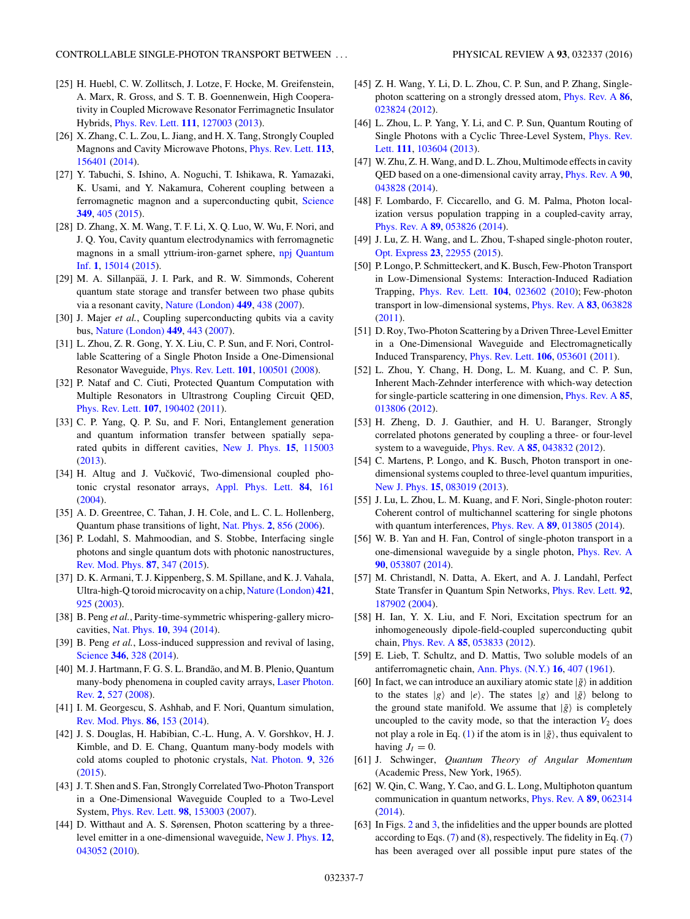- <span id="page-6-0"></span>[25] H. Huebl, C. W. Zollitsch, J. Lotze, F. Hocke, M. Greifenstein, A. Marx, R. Gross, and S. T. B. Goennenwein, High Cooperativity in Coupled Microwave Resonator Ferrimagnetic Insulator Hybrids, [Phys. Rev. Lett.](http://dx.doi.org/10.1103/PhysRevLett.111.127003) **[111](http://dx.doi.org/10.1103/PhysRevLett.111.127003)**, [127003](http://dx.doi.org/10.1103/PhysRevLett.111.127003) [\(2013\)](http://dx.doi.org/10.1103/PhysRevLett.111.127003).
- [26] X. Zhang, C. L. Zou, L. Jiang, and H. X. Tang, Strongly Coupled Magnons and Cavity Microwave Photons, [Phys. Rev. Lett.](http://dx.doi.org/10.1103/PhysRevLett.113.156401) **[113](http://dx.doi.org/10.1103/PhysRevLett.113.156401)**, [156401](http://dx.doi.org/10.1103/PhysRevLett.113.156401) [\(2014\)](http://dx.doi.org/10.1103/PhysRevLett.113.156401).
- [27] Y. Tabuchi, S. Ishino, A. Noguchi, T. Ishikawa, R. Yamazaki, K. Usami, and Y. Nakamura, Coherent coupling between a ferromagnetic magnon and a superconducting qubit, [Science](http://dx.doi.org/10.1126/science.aaa3693) **[349](http://dx.doi.org/10.1126/science.aaa3693)**, [405](http://dx.doi.org/10.1126/science.aaa3693) [\(2015\)](http://dx.doi.org/10.1126/science.aaa3693).
- [28] D. Zhang, X. M. Wang, T. F. Li, X. Q. Luo, W. Wu, F. Nori, and J. Q. You, Cavity quantum electrodynamics with ferromagnetic [magnons in a small yttrium-iron-garnet sphere,](http://dx.doi.org/10.1038/npjqi.2015.14) npj Quantum Inf. **[1](http://dx.doi.org/10.1038/npjqi.2015.14)**, [15014](http://dx.doi.org/10.1038/npjqi.2015.14) [\(2015\)](http://dx.doi.org/10.1038/npjqi.2015.14).
- [29] M. A. Sillanpää, J. I. Park, and R. W. Simmonds, Coherent quantum state storage and transfer between two phase qubits via a resonant cavity, [Nature \(London\)](http://dx.doi.org/10.1038/nature06124) **[449](http://dx.doi.org/10.1038/nature06124)**, [438](http://dx.doi.org/10.1038/nature06124) [\(2007\)](http://dx.doi.org/10.1038/nature06124).
- [30] J. Majer *et al.*, Coupling superconducting qubits via a cavity bus, [Nature \(London\)](http://dx.doi.org/10.1038/nature06184) **[449](http://dx.doi.org/10.1038/nature06184)**, [443](http://dx.doi.org/10.1038/nature06184) [\(2007\)](http://dx.doi.org/10.1038/nature06184).
- [31] L. Zhou, Z. R. Gong, Y. X. Liu, C. P. Sun, and F. Nori, Controllable Scattering of a Single Photon Inside a One-Dimensional Resonator Waveguide, [Phys. Rev. Lett.](http://dx.doi.org/10.1103/PhysRevLett.101.100501) **[101](http://dx.doi.org/10.1103/PhysRevLett.101.100501)**, [100501](http://dx.doi.org/10.1103/PhysRevLett.101.100501) [\(2008\)](http://dx.doi.org/10.1103/PhysRevLett.101.100501).
- [32] P. Nataf and C. Ciuti, Protected Quantum Computation with Multiple Resonators in Ultrastrong Coupling Circuit QED, [Phys. Rev. Lett.](http://dx.doi.org/10.1103/PhysRevLett.107.190402) **[107](http://dx.doi.org/10.1103/PhysRevLett.107.190402)**, [190402](http://dx.doi.org/10.1103/PhysRevLett.107.190402) [\(2011\)](http://dx.doi.org/10.1103/PhysRevLett.107.190402).
- [33] C. P. Yang, Q. P. Su, and F. Nori, Entanglement generation and quantum information transfer between spatially separated qubits in different cavities, [New J. Phys.](http://dx.doi.org/10.1088/1367-2630/15/11/115003) **[15](http://dx.doi.org/10.1088/1367-2630/15/11/115003)**, [115003](http://dx.doi.org/10.1088/1367-2630/15/11/115003) [\(2013\)](http://dx.doi.org/10.1088/1367-2630/15/11/115003).
- [34] H. Altug and J. Vučković, Two-dimensional coupled photonic crystal resonator arrays, [Appl. Phys. Lett.](http://dx.doi.org/10.1063/1.1639505) **[84](http://dx.doi.org/10.1063/1.1639505)**, [161](http://dx.doi.org/10.1063/1.1639505) [\(2004\)](http://dx.doi.org/10.1063/1.1639505).
- [35] A. D. Greentree, C. Tahan, J. H. Cole, and L. C. L. Hollenberg, Quantum phase transitions of light, [Nat. Phys.](http://dx.doi.org/10.1038/nphys466) **[2](http://dx.doi.org/10.1038/nphys466)**, [856](http://dx.doi.org/10.1038/nphys466) [\(2006\)](http://dx.doi.org/10.1038/nphys466).
- [36] P. Lodahl, S. Mahmoodian, and S. Stobbe, Interfacing single photons and single quantum dots with photonic nanostructures, [Rev. Mod. Phys.](http://dx.doi.org/10.1103/RevModPhys.87.347) **[87](http://dx.doi.org/10.1103/RevModPhys.87.347)**, [347](http://dx.doi.org/10.1103/RevModPhys.87.347) [\(2015\)](http://dx.doi.org/10.1103/RevModPhys.87.347).
- [37] D. K. Armani, T. J. Kippenberg, S. M. Spillane, and K. J. Vahala, Ultra-high-Q toroid microcavity on a chip, [Nature \(London\)](http://dx.doi.org/10.1038/nature01371) **[421](http://dx.doi.org/10.1038/nature01371)**, [925](http://dx.doi.org/10.1038/nature01371) [\(2003\)](http://dx.doi.org/10.1038/nature01371).
- [38] B. Peng *et al.*, Parity-time-symmetric whispering-gallery microcavities, [Nat. Phys.](http://dx.doi.org/10.1038/nphys2927) **[10](http://dx.doi.org/10.1038/nphys2927)**, [394](http://dx.doi.org/10.1038/nphys2927) [\(2014\)](http://dx.doi.org/10.1038/nphys2927).
- [39] B. Peng *et al.*, Loss-induced suppression and revival of lasing, [Science](http://dx.doi.org/10.1126/science.1258004) **[346](http://dx.doi.org/10.1126/science.1258004)**, [328](http://dx.doi.org/10.1126/science.1258004) [\(2014\)](http://dx.doi.org/10.1126/science.1258004).
- [40] M. J. Hartmann, F. G. S. L. Brandão, and M. B. Plenio, Quantum [many-body phenomena in coupled cavity arrays,](http://dx.doi.org/10.1002/lpor.200810046) Laser Photon. Rev. **[2](http://dx.doi.org/10.1002/lpor.200810046)**, [527](http://dx.doi.org/10.1002/lpor.200810046) [\(2008\)](http://dx.doi.org/10.1002/lpor.200810046).
- [41] I. M. Georgescu, S. Ashhab, and F. Nori, Quantum simulation, [Rev. Mod. Phys.](http://dx.doi.org/10.1103/RevModPhys.86.153) **[86](http://dx.doi.org/10.1103/RevModPhys.86.153)**, [153](http://dx.doi.org/10.1103/RevModPhys.86.153) [\(2014\)](http://dx.doi.org/10.1103/RevModPhys.86.153).
- [42] J. S. Douglas, H. Habibian, C.-L. Hung, A. V. Gorshkov, H. J. Kimble, and D. E. Chang, Quantum many-body models with cold atoms coupled to photonic crystals, [Nat. Photon.](http://dx.doi.org/10.1038/nphoton.2015.57) **[9](http://dx.doi.org/10.1038/nphoton.2015.57)**, [326](http://dx.doi.org/10.1038/nphoton.2015.57) [\(2015\)](http://dx.doi.org/10.1038/nphoton.2015.57).
- [43] J. T. Shen and S. Fan, Strongly Correlated Two-Photon Transport in a One-Dimensional Waveguide Coupled to a Two-Level System, [Phys. Rev. Lett.](http://dx.doi.org/10.1103/PhysRevLett.98.153003) **[98](http://dx.doi.org/10.1103/PhysRevLett.98.153003)**, [153003](http://dx.doi.org/10.1103/PhysRevLett.98.153003) [\(2007\)](http://dx.doi.org/10.1103/PhysRevLett.98.153003).
- [44] D. Witthaut and A. S. Sørensen, Photon scattering by a threelevel emitter in a one-dimensional waveguide, [New J. Phys.](http://dx.doi.org/10.1088/1367-2630/12/4/043052) **[12](http://dx.doi.org/10.1088/1367-2630/12/4/043052)**, [043052](http://dx.doi.org/10.1088/1367-2630/12/4/043052) [\(2010\)](http://dx.doi.org/10.1088/1367-2630/12/4/043052).
- [45] Z. H. Wang, Y. Li, D. L. Zhou, C. P. Sun, and P. Zhang, Singlephoton scattering on a strongly dressed atom, [Phys. Rev. A](http://dx.doi.org/10.1103/PhysRevA.86.023824) **[86](http://dx.doi.org/10.1103/PhysRevA.86.023824)**, [023824](http://dx.doi.org/10.1103/PhysRevA.86.023824) [\(2012\)](http://dx.doi.org/10.1103/PhysRevA.86.023824).
- [46] L. Zhou, L. P. Yang, Y. Li, and C. P. Sun, Quantum Routing of [Single Photons with a Cyclic Three-Level System,](http://dx.doi.org/10.1103/PhysRevLett.111.103604) Phys. Rev. Lett. **[111](http://dx.doi.org/10.1103/PhysRevLett.111.103604)**, [103604](http://dx.doi.org/10.1103/PhysRevLett.111.103604) [\(2013\)](http://dx.doi.org/10.1103/PhysRevLett.111.103604).
- [47] W. Zhu, Z. H. Wang, and D. L. Zhou, Multimode effects in cavity QED based on a one-dimensional cavity array, [Phys. Rev. A](http://dx.doi.org/10.1103/PhysRevA.90.043828) **[90](http://dx.doi.org/10.1103/PhysRevA.90.043828)**, [043828](http://dx.doi.org/10.1103/PhysRevA.90.043828) [\(2014\)](http://dx.doi.org/10.1103/PhysRevA.90.043828).
- [48] F. Lombardo, F. Ciccarello, and G. M. Palma, Photon localization versus population trapping in a coupled-cavity array, [Phys. Rev. A](http://dx.doi.org/10.1103/PhysRevA.89.053826) **[89](http://dx.doi.org/10.1103/PhysRevA.89.053826)**, [053826](http://dx.doi.org/10.1103/PhysRevA.89.053826) [\(2014\)](http://dx.doi.org/10.1103/PhysRevA.89.053826).
- [49] J. Lu, Z. H. Wang, and L. Zhou, T-shaped single-photon router, [Opt. Express](http://dx.doi.org/10.1364/OE.23.022955) **[23](http://dx.doi.org/10.1364/OE.23.022955)**, [22955](http://dx.doi.org/10.1364/OE.23.022955) [\(2015\)](http://dx.doi.org/10.1364/OE.23.022955).
- [50] P. Longo, P. Schmitteckert, and K. Busch, Few-Photon Transport in Low-Dimensional Systems: Interaction-Induced Radiation Trapping, [Phys. Rev. Lett.](http://dx.doi.org/10.1103/PhysRevLett.104.023602) **[104](http://dx.doi.org/10.1103/PhysRevLett.104.023602)**, [023602](http://dx.doi.org/10.1103/PhysRevLett.104.023602) [\(2010\)](http://dx.doi.org/10.1103/PhysRevLett.104.023602); Few-photon transport in low-dimensional systems, [Phys. Rev. A](http://dx.doi.org/10.1103/PhysRevA.83.063828) **[83](http://dx.doi.org/10.1103/PhysRevA.83.063828)**, [063828](http://dx.doi.org/10.1103/PhysRevA.83.063828) [\(2011\)](http://dx.doi.org/10.1103/PhysRevA.83.063828).
- [51] D. Roy, Two-Photon Scattering by a Driven Three-Level Emitter in a One-Dimensional Waveguide and Electromagnetically Induced Transparency, [Phys. Rev. Lett.](http://dx.doi.org/10.1103/PhysRevLett.106.053601) **[106](http://dx.doi.org/10.1103/PhysRevLett.106.053601)**, [053601](http://dx.doi.org/10.1103/PhysRevLett.106.053601) [\(2011\)](http://dx.doi.org/10.1103/PhysRevLett.106.053601).
- [52] L. Zhou, Y. Chang, H. Dong, L. M. Kuang, and C. P. Sun, Inherent Mach-Zehnder interference with which-way detection for single-particle scattering in one dimension, [Phys. Rev. A](http://dx.doi.org/10.1103/PhysRevA.85.013806) **[85](http://dx.doi.org/10.1103/PhysRevA.85.013806)**, [013806](http://dx.doi.org/10.1103/PhysRevA.85.013806) [\(2012\)](http://dx.doi.org/10.1103/PhysRevA.85.013806).
- [53] H. Zheng, D. J. Gauthier, and H. U. Baranger, Strongly correlated photons generated by coupling a three- or four-level system to a waveguide, [Phys. Rev. A](http://dx.doi.org/10.1103/PhysRevA.85.043832) **[85](http://dx.doi.org/10.1103/PhysRevA.85.043832)**, [043832](http://dx.doi.org/10.1103/PhysRevA.85.043832) [\(2012\)](http://dx.doi.org/10.1103/PhysRevA.85.043832).
- [54] C. Martens, P. Longo, and K. Busch, Photon transport in onedimensional systems coupled to three-level quantum impurities, [New J. Phys.](http://dx.doi.org/10.1088/1367-2630/15/8/083019) **[15](http://dx.doi.org/10.1088/1367-2630/15/8/083019)**, [083019](http://dx.doi.org/10.1088/1367-2630/15/8/083019) [\(2013\)](http://dx.doi.org/10.1088/1367-2630/15/8/083019).
- [55] J. Lu, L. Zhou, L. M. Kuang, and F. Nori, Single-photon router: Coherent control of multichannel scattering for single photons with quantum interferences, [Phys. Rev. A](http://dx.doi.org/10.1103/PhysRevA.89.013805) **[89](http://dx.doi.org/10.1103/PhysRevA.89.013805)**, [013805](http://dx.doi.org/10.1103/PhysRevA.89.013805) [\(2014\)](http://dx.doi.org/10.1103/PhysRevA.89.013805).
- [56] W. B. Yan and H. Fan, Control of single-photon transport in a one-dimensional waveguide by a single photon, [Phys. Rev. A](http://dx.doi.org/10.1103/PhysRevA.90.053807) **[90](http://dx.doi.org/10.1103/PhysRevA.90.053807)**, [053807](http://dx.doi.org/10.1103/PhysRevA.90.053807) [\(2014\)](http://dx.doi.org/10.1103/PhysRevA.90.053807).
- [57] M. Christandl, N. Datta, A. Ekert, and A. J. Landahl, Perfect State Transfer in Quantum Spin Networks, [Phys. Rev. Lett.](http://dx.doi.org/10.1103/PhysRevLett.92.187902) **[92](http://dx.doi.org/10.1103/PhysRevLett.92.187902)**, [187902](http://dx.doi.org/10.1103/PhysRevLett.92.187902) [\(2004\)](http://dx.doi.org/10.1103/PhysRevLett.92.187902).
- [58] H. Ian, Y. X. Liu, and F. Nori, Excitation spectrum for an inhomogeneously dipole-field-coupled superconducting qubit chain, [Phys. Rev. A](http://dx.doi.org/10.1103/PhysRevA.85.053833) **[85](http://dx.doi.org/10.1103/PhysRevA.85.053833)**, [053833](http://dx.doi.org/10.1103/PhysRevA.85.053833) [\(2012\)](http://dx.doi.org/10.1103/PhysRevA.85.053833).
- [59] E. Lieb, T. Schultz, and D. Mattis, Two soluble models of an antiferromagnetic chain, [Ann. Phys. \(N.Y.\)](http://dx.doi.org/10.1016/0003-4916(61)90115-4) **[16](http://dx.doi.org/10.1016/0003-4916(61)90115-4)**, [407](http://dx.doi.org/10.1016/0003-4916(61)90115-4) [\(1961\)](http://dx.doi.org/10.1016/0003-4916(61)90115-4).
- [60] In fact, we can introduce an auxiliary atomic state  $|\tilde{g}\rangle$  in addition to the states  $|g\rangle$  and  $|e\rangle$ . The states  $|g\rangle$  and  $|\tilde{g}\rangle$  belong to the ground state manifold. We assume that  $|\tilde{g}\rangle$  is completely uncoupled to the cavity mode, so that the interaction  $V_2$  does not play a role in Eq. [\(1\)](#page-1-0) if the atom is in  $|\tilde{g}\rangle$ , thus equivalent to having  $J_I = 0$ .
- [61] J. Schwinger, *Quantum Theory of Angular Momentum* (Academic Press, New York, 1965).
- [62] W. Qin, C. Wang, Y. Cao, and G. L. Long, Multiphoton quantum communication in quantum networks, [Phys. Rev. A](http://dx.doi.org/10.1103/PhysRevA.89.062314) **[89](http://dx.doi.org/10.1103/PhysRevA.89.062314)**, [062314](http://dx.doi.org/10.1103/PhysRevA.89.062314) [\(2014\)](http://dx.doi.org/10.1103/PhysRevA.89.062314).
- [63] In Figs. [2](#page-3-0) and [3,](#page-4-0) the infidelities and the upper bounds are plotted according to Eqs.  $(7)$  and  $(8)$ , respectively. The fidelity in Eq.  $(7)$ has been averaged over all possible input pure states of the